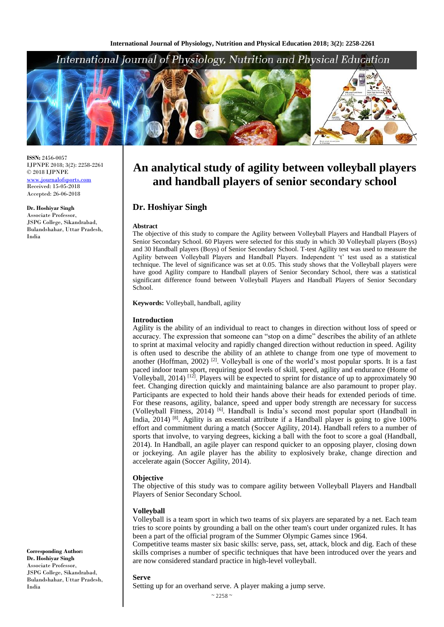

**ISSN:** 2456-0057 IJPNPE 2018; 3(2): 2258-2261 © 2018 IJPNPE [www.journalofsports.com](http://www.journalofsports.com/) Received: 15-05-2018 Accepted: 26-06-2018

**Dr. Hoshiyar Singh** Associate Professor, JSPG College, Sikandrabad, Bulandshahar, Uttar Pradesh, India

**Keywords:** Volleyball, handball, agility

**Dr. Hoshiyar Singh**

#### **Introduction**

**Abstract**

School.

Agility is the ability of an individual to react to changes in direction without loss of speed or accuracy. The expression that someone can "stop on a dime" describes the ability of an athlete to sprint at maximal velocity and rapidly changed direction without reduction in speed. Agility is often used to describe the ability of an athlete to change from one type of movement to another (Hoffman, 2002)<sup>[2]</sup>. Volleyball is one of the world's most popular sports. It is a fast paced indoor team sport, requiring good levels of skill, speed, agility and endurance (Home of Volleyball, 2014) <sup>[12]</sup>. Players will be expected to sprint for distance of up to approximately 90 feet. Changing direction quickly and maintaining balance are also paramount to proper play. Participants are expected to hold their hands above their heads for extended periods of time. For these reasons, agility, balance, speed and upper body strength are necessary for success (Volleyball Fitness, 2014)<sup>[6]</sup>. Handball is India's second most popular sport (Handball in India, 2014)<sup>[8]</sup>. Agility is an essential attribute if a Handball player is going to give 100% effort and commitment during a match (Soccer Agility, 2014). Handball refers to a number of sports that involve, to varying degrees, kicking a ball with the foot to score a goal (Handball, 2014). In Handball, an agile player can respond quicker to an opposing player, closing down or jockeying. An agile player has the ability to explosively brake, change direction and accelerate again (Soccer Agility, 2014).

**An analytical study of agility between volleyball players and handball players of senior secondary school**

The objective of this study to compare the Agility between Volleyball Players and Handball Players of Senior Secondary School. 60 Players were selected for this study in which 30 Volleyball players (Boys) and 30 Handball players (Boys) of Senior Secondary School. T-test Agility test was used to measure the Agility between Volleyball Players and Handball Players. Independent 't' test used as a statistical technique. The level of significance was set at 0.05. This study shows that the Volleyball players were have good Agility compare to Handball players of Senior Secondary School, there was a statistical significant difference found between Volleyball Players and Handball Players of Senior Secondary

#### **Objective**

The objective of this study was to compare agility between Volleyball Players and Handball Players of Senior Secondary School.

#### **Volleyball**

Volleyball is a team sport in which two teams of six players are separated by a net. Each team tries to score points by grounding a ball on the other team's court under organized rules. It has been a part of the official program of the Summer Olympic Games since 1964.

Competitive teams master six basic skills: serve, pass, set, attack, block and dig. Each of these skills comprises a number of specific techniques that have been introduced over the years and are now considered standard practice in high-level volleyball.

#### **Serve**

Setting up for an overhand serve. A player making a jump serve.

**Corresponding Author: Dr. Hoshiyar Singh** Associate Professor, JSPG College, Sikandrabad, Bulandshahar, Uttar Pradesh, India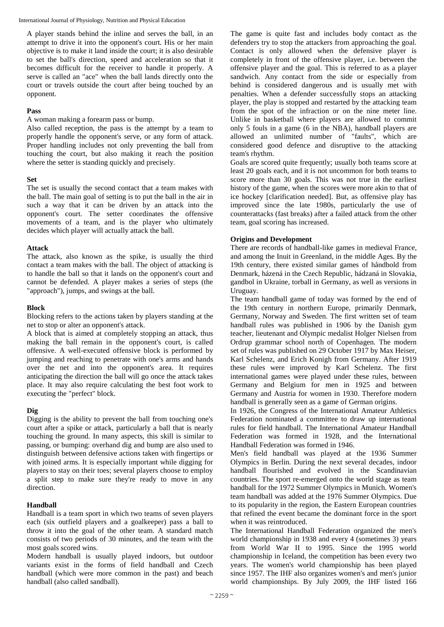A player stands behind the inline and serves the ball, in an attempt to drive it into the opponent's court. His or her main objective is to make it land inside the court; it is also desirable to set the ball's direction, speed and acceleration so that it becomes difficult for the receiver to handle it properly. A serve is called an "ace" when the ball lands directly onto the court or travels outside the court after being touched by an opponent.

#### **Pass**

A woman making a forearm pass or bump.

Also called reception, the pass is the attempt by a team to properly handle the opponent's serve, or any form of attack. Proper handling includes not only preventing the ball from touching the court, but also making it reach the position where the setter is standing quickly and precisely.

#### **Set**

The set is usually the second contact that a team makes with the ball. The main goal of setting is to put the ball in the air in such a way that it can be driven by an attack into the opponent's court. The setter coordinates the offensive movements of a team, and is the player who ultimately decides which player will actually attack the ball.

#### **Attack**

The attack, also known as the spike, is usually the third contact a team makes with the ball. The object of attacking is to handle the ball so that it lands on the opponent's court and cannot be defended. A player makes a series of steps (the "approach"), jumps, and swings at the ball.

#### **Block**

Blocking refers to the actions taken by players standing at the net to stop or alter an opponent's attack.

A block that is aimed at completely stopping an attack, thus making the ball remain in the opponent's court, is called offensive. A well-executed offensive block is performed by jumping and reaching to penetrate with one's arms and hands over the net and into the opponent's area. It requires anticipating the direction the ball will go once the attack takes place. It may also require calculating the best foot work to executing the "perfect" block.

## **Dig**

Digging is the ability to prevent the ball from touching one's court after a spike or attack, particularly a ball that is nearly touching the ground. In many aspects, this skill is similar to passing, or bumping: overhand dig and bump are also used to distinguish between defensive actions taken with fingertips or with joined arms. It is especially important while digging for players to stay on their toes; several players choose to employ a split step to make sure they're ready to move in any direction.

#### **Handball**

Handball is a team sport in which two teams of seven players each (six outfield players and a goalkeeper) pass a ball to throw it into the goal of the other team. A standard match consists of two periods of 30 minutes, and the team with the most goals scored wins.

Modern handball is usually played indoors, but outdoor variants exist in the forms of field handball and Czech handball (which were more common in the past) and beach handball (also called sandball).

The game is quite fast and includes body contact as the defenders try to stop the attackers from approaching the goal. Contact is only allowed when the defensive player is completely in front of the offensive player, i.e. between the offensive player and the goal. This is referred to as a player sandwich. Any contact from the side or especially from behind is considered dangerous and is usually met with penalties. When a defender successfully stops an attacking player, the play is stopped and restarted by the attacking team from the spot of the infraction or on the nine meter line. Unlike in basketball where players are allowed to commit only 5 fouls in a game (6 in the NBA), handball players are allowed an unlimited number of "faults", which are considered good defence and disruptive to the attacking team's rhythm.

Goals are scored quite frequently; usually both teams score at least 20 goals each, and it is not uncommon for both teams to score more than 30 goals. This was not true in the earliest history of the game, when the scores were more akin to that of ice hockey [clarification needed]. But, as offensive play has improved since the late 1980s, particularly the use of counterattacks (fast breaks) after a failed attack from the other team, goal scoring has increased.

#### **Origins and Development**

There are records of handball-like games in medieval France, and among the Inuit in Greenland, in the middle Ages. By the 19th century, there existed similar games of håndbold from Denmark, házená in the Czech Republic, hádzaná in Slovakia, gandbol in Ukraine, torball in Germany, as well as versions in Uruguay.

The team handball game of today was formed by the end of the 19th century in northern Europe, primarily Denmark, Germany, Norway and Sweden. The first written set of team handball rules was published in 1906 by the Danish gym teacher, lieutenant and Olympic medalist Holger Nielsen from Ordrup grammar school north of Copenhagen. The modern set of rules was published on 29 October 1917 by Max Heiser, Karl Schelenz, and Erich Konigh from Germany. After 1919 these rules were improved by Karl Schelenz. The first international games were played under these rules, between Germany and Belgium for men in 1925 and between Germany and Austria for women in 1930. Therefore modern handball is generally seen as a game of German origins.

In 1926, the Congress of the International Amateur Athletics Federation nominated a committee to draw up international rules for field handball. The International Amateur Handball Federation was formed in 1928, and the International Handball Federation was formed in 1946.

Men's field handball was played at the 1936 Summer Olympics in Berlin. During the next several decades, indoor handball flourished and evolved in the Scandinavian countries. The sport re-emerged onto the world stage as team handball for the 1972 Summer Olympics in Munich. Women's team handball was added at the 1976 Summer Olympics. Due to its popularity in the region, the Eastern European countries that refined the event became the dominant force in the sport when it was reintroduced.

The International Handball Federation organized the men's world championship in 1938 and every 4 (sometimes 3) years from World War II to 1995. Since the 1995 world championship in Iceland, the competition has been every two years. The women's world championship has been played since 1957. The IHF also organizes women's and men's junior world championships. By July 2009, the IHF listed 166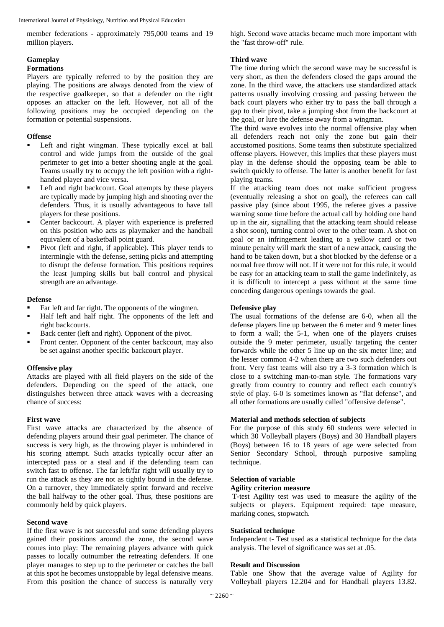member federations - approximately 795,000 teams and 19 million players.

## **Gameplay**

## **Formations**

Players are typically referred to by the position they are playing. The positions are always denoted from the view of the respective goalkeeper, so that a defender on the right opposes an attacker on the left. However, not all of the following positions may be occupied depending on the formation or potential suspensions.

## **Offense**

- Left and right wingman. These typically excel at ball control and wide jumps from the outside of the goal perimeter to get into a better shooting angle at the goal. Teams usually try to occupy the left position with a righthanded player and vice versa.
- Left and right backcourt. Goal attempts by these players are typically made by jumping high and shooting over the defenders. Thus, it is usually advantageous to have tall players for these positions.
- Center backcourt. A player with experience is preferred on this position who acts as playmaker and the handball equivalent of a basketball point guard.
- Pivot (left and right, if applicable). This player tends to intermingle with the defense, setting picks and attempting to disrupt the defense formation. This positions requires the least jumping skills but ball control and physical strength are an advantage.

## **Defense**

- Far left and far right. The opponents of the wingmen.
- Half left and half right. The opponents of the left and right backcourts.
- Back center (left and right). Opponent of the pivot.
- Front center. Opponent of the center backcourt, may also be set against another specific backcourt player.

## **Offensive play**

Attacks are played with all field players on the side of the defenders. Depending on the speed of the attack, one distinguishes between three attack waves with a decreasing chance of success:

## **First wave**

First wave attacks are characterized by the absence of defending players around their goal perimeter. The chance of success is very high, as the throwing player is unhindered in his scoring attempt. Such attacks typically occur after an intercepted pass or a steal and if the defending team can switch fast to offense. The far left/far right will usually try to run the attack as they are not as tightly bound in the defense. On a turnover, they immediately sprint forward and receive the ball halfway to the other goal. Thus, these positions are commonly held by quick players.

## **Second wave**

If the first wave is not successful and some defending players gained their positions around the zone, the second wave comes into play: The remaining players advance with quick passes to locally outnumber the retreating defenders. If one player manages to step up to the perimeter or catches the ball at this spot he becomes unstoppable by legal defensive means. From this position the chance of success is naturally very high. Second wave attacks became much more important with the "fast throw-off" rule.

## **Third wave**

The time during which the second wave may be successful is very short, as then the defenders closed the gaps around the zone. In the third wave, the attackers use standardized attack patterns usually involving crossing and passing between the back court players who either try to pass the ball through a gap to their pivot, take a jumping shot from the backcourt at the goal, or lure the defense away from a wingman.

The third wave evolves into the normal offensive play when all defenders reach not only the zone but gain their accustomed positions. Some teams then substitute specialized offense players. However, this implies that these players must play in the defense should the opposing team be able to switch quickly to offense. The latter is another benefit for fast playing teams.

If the attacking team does not make sufficient progress (eventually releasing a shot on goal), the referees can call passive play (since about 1995, the referee gives a passive warning some time before the actual call by holding one hand up in the air, signalling that the attacking team should release a shot soon), turning control over to the other team. A shot on goal or an infringement leading to a yellow card or two minute penalty will mark the start of a new attack, causing the hand to be taken down, but a shot blocked by the defense or a normal free throw will not. If it were not for this rule, it would be easy for an attacking team to stall the game indefinitely, as it is difficult to intercept a pass without at the same time conceding dangerous openings towards the goal.

## **Defensive play**

The usual formations of the defense are 6-0, when all the defense players line up between the 6 meter and 9 meter lines to form a wall; the 5-1, when one of the players cruises outside the 9 meter perimeter, usually targeting the center forwards while the other 5 line up on the six meter line; and the lesser common 4-2 when there are two such defenders out front. Very fast teams will also try a 3-3 formation which is close to a switching man-to-man style. The formations vary greatly from country to country and reflect each country's style of play. 6-0 is sometimes known as "flat defense", and all other formations are usually called "offensive defense".

## **Material and methods selection of subjects**

For the purpose of this study 60 students were selected in which 30 Volleyball players (Boys) and 30 Handball players (Boys) between 16 to 18 years of age were selected from Senior Secondary School, through purposive sampling technique.

## **Selection of variable**

#### **Agility criterion measure**

T-test Agility test was used to measure the agility of the subjects or players. Equipment required: tape measure, marking cones, stopwatch.

#### **Statistical technique**

Independent t- Test used as a statistical technique for the data analysis. The level of significance was set at .05.

## **Result and Discussion**

Table one Show that the average value of Agility for Volleyball players 12.204 and for Handball players 13.82.